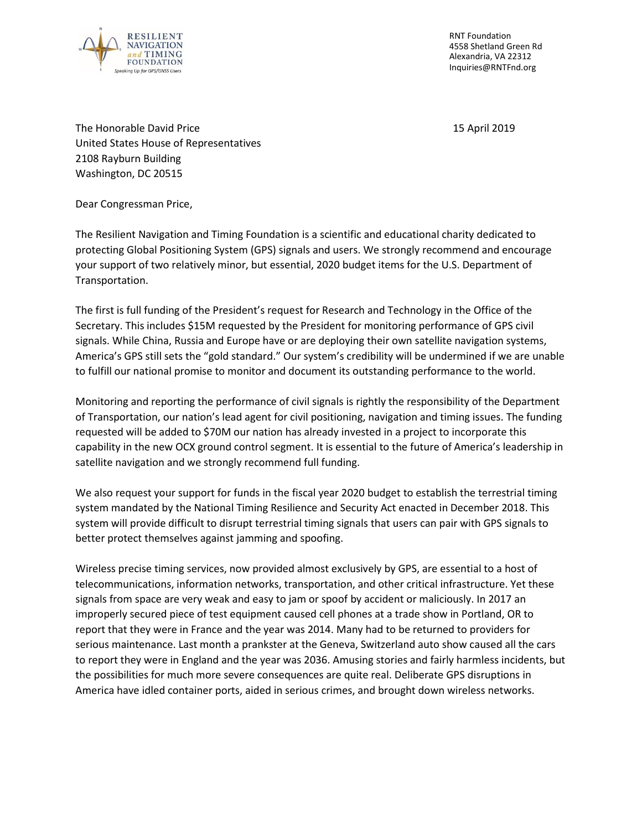

RNT Foundation 4558 Shetland Green Rd Alexandria, VA 22312 Inquiries@RNTFnd.org

The Honorable David Price 15 April 2019 United States House of Representatives 2108 Rayburn Building Washington, DC 20515

Dear Congressman Price,

The Resilient Navigation and Timing Foundation is a scientific and educational charity dedicated to protecting Global Positioning System (GPS) signals and users. We strongly recommend and encourage your support of two relatively minor, but essential, 2020 budget items for the U.S. Department of Transportation.

The first is full funding of the President's request for Research and Technology in the Office of the Secretary. This includes \$15M requested by the President for monitoring performance of GPS civil signals. While China, Russia and Europe have or are deploying their own satellite navigation systems, America's GPS still sets the "gold standard." Our system's credibility will be undermined if we are unable to fulfill our national promise to monitor and document its outstanding performance to the world.

Monitoring and reporting the performance of civil signals is rightly the responsibility of the Department of Transportation, our nation's lead agent for civil positioning, navigation and timing issues. The funding requested will be added to \$70M our nation has already invested in a project to incorporate this capability in the new OCX ground control segment. It is essential to the future of America's leadership in satellite navigation and we strongly recommend full funding.

We also request your support for funds in the fiscal year 2020 budget to establish the terrestrial timing system mandated by the National Timing Resilience and Security Act enacted in December 2018. This system will provide difficult to disrupt terrestrial timing signals that users can pair with GPS signals to better protect themselves against jamming and spoofing.

Wireless precise timing services, now provided almost exclusively by GPS, are essential to a host of telecommunications, information networks, transportation, and other critical infrastructure. Yet these signals from space are very weak and easy to jam or spoof by accident or maliciously. In 2017 an improperly secured piece of test equipment caused cell phones at a trade show in Portland, OR to report that they were in France and the year was 2014. Many had to be returned to providers for serious maintenance. Last month a prankster at the Geneva, Switzerland auto show caused all the cars to report they were in England and the year was 2036. Amusing stories and fairly harmless incidents, but the possibilities for much more severe consequences are quite real. Deliberate GPS disruptions in America have idled container ports, aided in serious crimes, and brought down wireless networks.